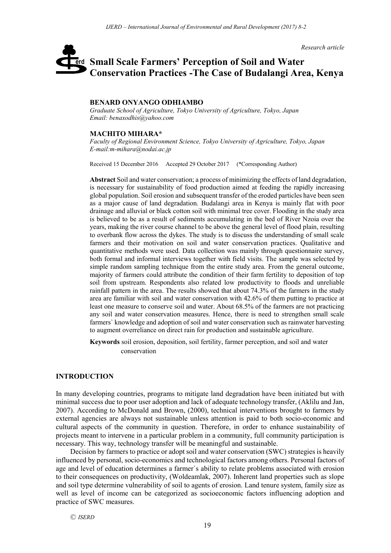*Research article*

# **Small Scale Farmers' Perception of Soil and Water**  erd **Conservation Practices -The Case of Budalangi Area, Kenya**

#### **BENARD ONYANGO ODHIAMBO**

*Graduate School of Agriculture, Tokyo University of Agriculture, Tokyo, Japan Email: benaxodhis@yahoo.com*

#### **MACHITO MIHARA\***

*Faculty of Regional Environment Science, Tokyo University of Agriculture, Tokyo, Japan E-mail:m-mihara@nodai.ac.jp*

Received 15 December 2016 Accepted 29 October 2017 (\*Corresponding Author)

**Abstract** Soil and water conservation; a process of minimizing the effects of land degradation, is necessary for sustainability of food production aimed at feeding the rapidly increasing global population. Soil erosion and subsequent transfer of the eroded particles have been seen as a major cause of land degradation. Budalangi area in Kenya is mainly flat with poor drainage and alluvial or black cotton soil with minimal tree cover. Flooding in the study area is believed to be as a result of sediments accumulating in the bed of River Nzoia over the years, making the river course channel to be above the general level of flood plain, resulting to overbank flow across the dykes. The study is to discuss the understanding of small scale farmers and their motivation on soil and water conservation practices. Qualitative and quantitative methods were used. Data collection was mainly through questionnaire survey, both formal and informal interviews together with field visits. The sample was selected by simple random sampling technique from the entire study area. From the general outcome, majority of farmers could attribute the condition of their farm fertility to deposition of top soil from upstream. Respondents also related low productivity to floods and unreliable rainfall pattern in the area. The results showed that about 74.3% of the farmers in the study area are familiar with soil and water conservation with 42.6% of them putting to practice at least one measure to conserve soil and water. About 68.5% of the farmers are not practicing any soil and water conservation measures. Hence, there is need to strengthen small scale farmers` knowledge and adoption of soil and water conservation such as rainwater harvesting to augment overreliance on direct rain for production and sustainable agriculture.

**Keywords** soil erosion, deposition, soil fertility, farmer perception, and soil and water conservation

### **INTRODUCTION**

In many developing countries, programs to mitigate land degradation have been initiated but with minimal success due to poor user adoption and lack of adequate technology transfer, (Aklilu and Jan, 2007). According to McDonald and Brown, (2000), technical interventions brought to farmers by external agencies are always not sustainable unless attention is paid to both socio-economic and cultural aspects of the community in question. Therefore, in order to enhance sustainability of projects meant to intervene in a particular problem in a community, full community participation is necessary. This way, technology transfer will be meaningful and sustainable.

Decision by farmers to practice or adopt soil and water conservation (SWC) strategies is heavily influenced by personal, socio-economics and technological factors among others. Personal factors of age and level of education determines a farmer`s ability to relate problems associated with erosion to their consequences on productivity, (Woldeamlak, 2007). Inherent land properties such as slope and soil type determine vulnerability of soil to agents of erosion. Land tenure system, family size as well as level of income can be categorized as socioeconomic factors influencing adoption and practice of SWC measures.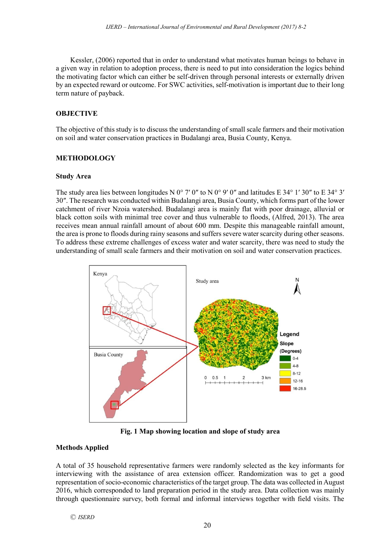Kessler, (2006) reported that in order to understand what motivates human beings to behave in a given way in relation to adoption process, there is need to put into consideration the logics behind the motivating factor which can either be self-driven through personal interests or externally driven by an expected reward or outcome. For SWC activities, self-motivation is important due to their long term nature of payback.

# **OBJECTIVE**

The objective of this study is to discuss the understanding of small scale farmers and their motivation on soil and water conservation practices in Budalangi area, Busia County, Kenya.

# **METHODOLOGY**

## **Study Area**

The study area lies between longitudes N 0° 7′ 0″ to N 0° 9′ 0″ and latitudes E 34° 1′ 30″ to E 34° 3′ 30″. The research was conducted within Budalangi area, Busia County, which forms part of the lower catchment of river Nzoia watershed. Budalangi area is mainly flat with poor drainage, alluvial or black cotton soils with minimal tree cover and thus vulnerable to floods, (Alfred, 2013). The area receives mean annual rainfall amount of about 600 mm. Despite this manageable rainfall amount, the area is prone to floods during rainy seasons and suffers severe water scarcity during other seasons. To address these extreme challenges of excess water and water scarcity, there was need to study the understanding of small scale farmers and their motivation on soil and water conservation practices.



**Fig. 1 Map showing location and slope of study area**

## **Methods Applied**

A total of 35 household representative farmers were randomly selected as the key informants for interviewing with the assistance of area extension officer. Randomization was to get a good representation of socio-economic characteristics of the target group. The data was collected in August 2016, which corresponded to land preparation period in the study area. Data collection was mainly through questionnaire survey, both formal and informal interviews together with field visits. The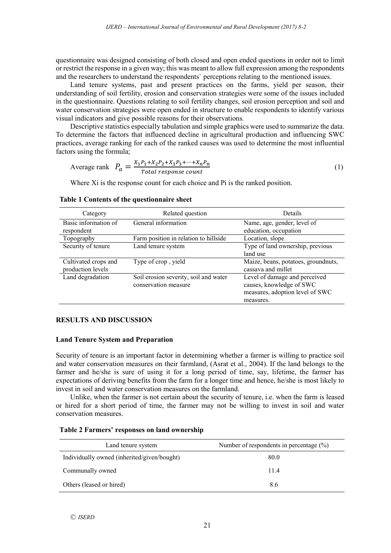questionnaire was designed consisting of both closed and open ended questions in order not to limit or restrict the response in a given way; this was meant to allow full expression among the respondents and the researchers to understand the respondents` perceptions relating to the mentioned issues.

Land tenure systems, past and present practices on the farms, yield per season, their understanding of soil fertility, erosion and conservation strategies were some of the issues included in the questionnaire. Questions relating to soil fertility changes, soil erosion perception and soil and water conservation strategies were open ended in structure to enable respondents to identify various visual indicators and give possible reasons for their observations.

Descriptive statistics especially tabulation and simple graphics were used to summarize the data. To determine the factors that influenced decline in agricultural production and influencing SWC practices, average ranking for each of the ranked causes was used to determine the most influential factors using the formula;

Average rank 
$$
P_a = \frac{X_1 P_1 + X_2 P_2 + X_3 P_3 + \dots + X_n P_n}{Total response count}
$$
 (1)

Where Xi is the response count for each choice and Pi is the ranked position.

| Category                                  | Related question                                              | Details                                                                                                   |  |  |
|-------------------------------------------|---------------------------------------------------------------|-----------------------------------------------------------------------------------------------------------|--|--|
| Basic information of<br>respondent        | General information                                           | Name, age, gender, level of<br>education, occupation                                                      |  |  |
| Topography                                | Farm position in relation to hillside                         | Location, slope                                                                                           |  |  |
| Security of tenure                        | Land tenure system                                            | Type of land ownership, previous<br>land use                                                              |  |  |
| Cultivated crops and<br>production levels | Type of crop, yield                                           | Maize, beans, potatoes, groundnuts,<br>cassava and millet                                                 |  |  |
| Land degradation                          | Soil erosion severity, soil and water<br>conservation measure | Level of damage and perceived<br>causes, knowledge of SWC<br>measures, adoption level of SWC<br>measures. |  |  |

# **Table 1 Contents of the questionnaire sheet**

## **RESULTS AND DISCUSSION**

### **Land Tenure System and Preparation**

Security of tenure is an important factor in determining whether a farmer is willing to practice soil and water conservation measures on their farmland, (Asrat et al., 2004). If the land belongs to the farmer and he/she is sure of using it for a long period of time, say, lifetime, the farmer has expectations of deriving benefits from the farm for a longer time and hence, he/she is most likely to invest in soil and water conservation measures on the farmland.

Unlike, when the farmer is not certain about the security of tenure, i.e. when the farm is leased or hired for a short period of time, the farmer may not be willing to invest in soil and water conservation measures.

| Land tenure system                          | Number of respondents in percentage $(\%)$ |
|---------------------------------------------|--------------------------------------------|
| Individually owned (inherited/given/bought) | 80.0                                       |
| Communally owned                            | 114                                        |
| Others (leased or hired)                    | 8.6                                        |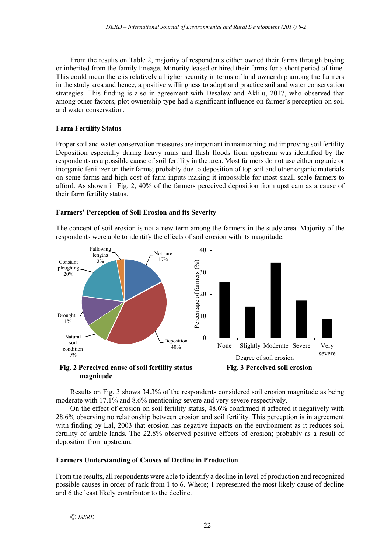From the results on Table 2, majority of respondents either owned their farms through buying or inherited from the family lineage. Minority leased or hired their farms for a short period of time. This could mean there is relatively a higher security in terms of land ownership among the farmers in the study area and hence, a positive willingness to adopt and practice soil and water conservation strategies. This finding is also in agreement with Desalew and Aklilu, 2017, who observed that among other factors, plot ownership type had a significant influence on farmer's perception on soil and water conservation.

## **Farm Fertility Status**

Proper soil and water conservation measures are important in maintaining and improving soil fertility. Deposition especially during heavy rains and flash floods from upstream was identified by the respondents as a possible cause of soil fertility in the area. Most farmers do not use either organic or inorganic fertilizer on their farms; probably due to deposition of top soil and other organic materials on some farms and high cost of farm inputs making it impossible for most small scale farmers to afford. As shown in Fig. 2, 40% of the farmers perceived deposition from upstream as a cause of their farm fertility status.

## **Farmers' Perception of Soil Erosion and its Severity**

The concept of soil erosion is not a new term among the farmers in the study area. Majority of the respondents were able to identify the effects of soil erosion with its magnitude.



Results on Fig. 3 shows 34.3% of the respondents considered soil erosion magnitude as being moderate with 17.1% and 8.6% mentioning severe and very severe respectively.

On the effect of erosion on soil fertility status, 48.6% confirmed it affected it negatively with 28.6% observing no relationship between erosion and soil fertility. This perception is in agreement with finding by Lal, 2003 that erosion has negative impacts on the environment as it reduces soil fertility of arable lands. The 22.8% observed positive effects of erosion; probably as a result of deposition from upstream.

## **Farmers Understanding of Causes of Decline in Production**

From the results, all respondents were able to identify a decline in level of production and recognized possible causes in order of rank from 1 to 6. Where; 1 represented the most likely cause of decline and 6 the least likely contributor to the decline.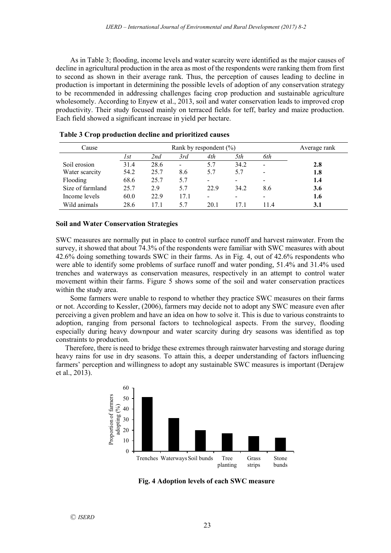As in Table 3; flooding, income levels and water scarcity were identified as the major causes of decline in agricultural production in the area as most of the respondents were ranking them from first to second as shown in their average rank. Thus, the perception of causes leading to decline in production is important in determining the possible levels of adoption of any conservation strategy to be recommended in addressing challenges facing crop production and sustainable agriculture wholesomely. According to Enyew et al., 2013, soil and water conservation leads to improved crop productivity. Their study focused mainly on terraced fields for teff, barley and maize production. Each field showed a significant increase in yield per hectare.

| Cause            | Rank by respondent $(\%)$ |      |                          |                              |      | Average rank |     |
|------------------|---------------------------|------|--------------------------|------------------------------|------|--------------|-----|
|                  | 1st                       | 2nd  | 3rd                      | 4th                          | 5th  | 6th          |     |
| Soil erosion     | 31.4                      | 28.6 | $\overline{\phantom{a}}$ | 5.7                          | 34.2 | -            | 2.8 |
| Water scarcity   | 54.2                      | 25.7 | 8.6                      | 5.7                          | 5.7  | -            | 1.8 |
| Flooding         | 68.6                      | 25.7 | 5.7                      | $\qquad \qquad \blacksquare$ |      | -            | 1.4 |
| Size of farmland | 25.7                      | 2.9  | 5.7                      | 22.9                         | 34.2 | 8.6          | 3.6 |
| Income levels    | 60.0                      | 22.9 | 17.1                     |                              |      | -            | 1.6 |
| Wild animals     | 28.6                      | 17.1 | 5.7                      | 20.1                         | 171  | 114          | 3.1 |

**Table 3 Crop production decline and prioritized causes**

#### **Soil and Water Conservation Strategies**

SWC measures are normally put in place to control surface runoff and harvest rainwater. From the survey, it showed that about 74.3% of the respondents were familiar with SWC measures with about 42.6% doing something towards SWC in their farms. As in Fig. 4, out of 42.6% respondents who were able to identify some problems of surface runoff and water ponding, 51.4% and 31.4% used trenches and waterways as conservation measures, respectively in an attempt to control water movement within their farms. Figure 5 shows some of the soil and water conservation practices within the study area.

Some farmers were unable to respond to whether they practice SWC measures on their farms or not. According to Kessler, (2006), farmers may decide not to adopt any SWC measure even after perceiving a given problem and have an idea on how to solve it. This is due to various constraints to adoption, ranging from personal factors to technological aspects. From the survey, flooding especially during heavy downpour and water scarcity during dry seasons was identified as top constraints to production.

Therefore, there is need to bridge these extremes through rainwater harvesting and storage during heavy rains for use in dry seasons. To attain this, a deeper understanding of factors influencing farmers' perception and willingness to adopt any sustainable SWC measures is important (Derajew et al., 2013).



 **Fig. 4 Adoption levels of each SWC measure**